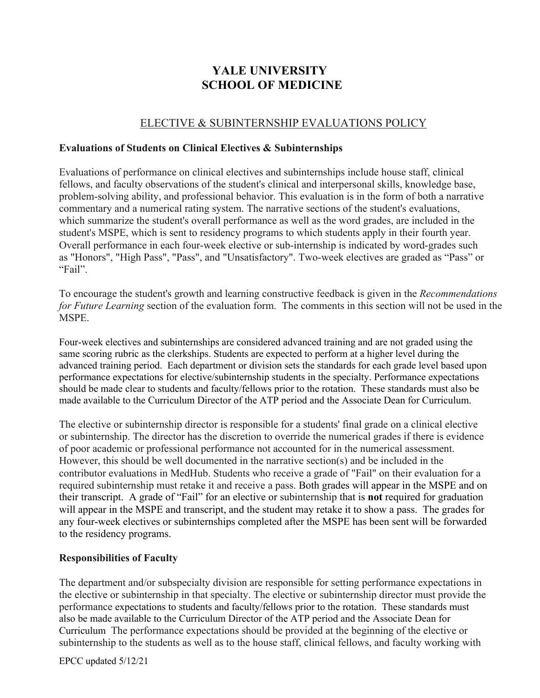# **YALE UNIVERSITY SCHOOL OF MEDICINE**

# ELECTIVE & SUBINTERNSHIP EVALUATIONS POLICY

#### **Evaluations of Students on Clinical Electives & Subinternships**

Evaluations of performance on clinical electives and subinternships include house staff, clinical fellows, and faculty observations of the student's clinical and interpersonal skills, knowledge base, problem-solving ability, and professional behavior. This evaluation is in the form of both a narrative commentary and a numerical rating system. The narrative sections of the student's evaluations, which summarize the student's overall performance as well as the word grades, are included in the student's MSPE, which is sent to residency programs to which students apply in their fourth year. Overall performance in each four-week elective or sub-internship is indicated by word-grades such as "Honors", "High Pass", "Pass", and "Unsatisfactory". Two-week electives are graded as "Pass" or "Fail".

To encourage the student's growth and learning constructive feedback is given in the *Recommendations for Future Learning* section of the evaluation form. The comments in this section will not be used in the MSPE.

Four-week electives and subinternships are considered advanced training and are not graded using the same scoring rubric as the clerkships. Students are expected to perform at a higher level during the advanced training period. Each department or division sets the standards for each grade level based upon performance expectations for elective/subinternship students in the specialty. Performance expectations should be made clear to students and faculty/fellows prior to the rotation. These standards must also be made available to the Curriculum Director of the ATP period and the Associate Dean for Curriculum.

The elective or subinternship director is responsible for a students' final grade on a clinical elective or subinternship. The director has the discretion to override the numerical grades if there is evidence of poor academic or professional performance not accounted for in the numerical assessment. However, this should be well documented in the narrative section(s) and be included in the contributor evaluations in MedHub. Students who receive a grade of "Fail" on their evaluation for a required subinternship must retake it and receive a pass. Both grades will appear in the MSPE and on their transcript. A grade of "Fail" for an elective or subinternship that is **not** required for graduation will appear in the MSPE and transcript, and the student may retake it to show a pass. The grades for any four-week electives or subinternships completed after the MSPE has been sent will be forwarded to the residency programs.

#### **Responsibilities of Faculty**

The department and/or subspecialty division are responsible for setting performance expectations in the elective or subinternship in that specialty. The elective or subinternship director must provide the performance expectations to students and faculty/fellows prior to the rotation. These standards must also be made available to the Curriculum Director of the ATP period and the Associate Dean for Curriculum The performance expectations should be provided at the beginning of the elective or subinternship to the students as well as to the house staff, clinical fellows, and faculty working with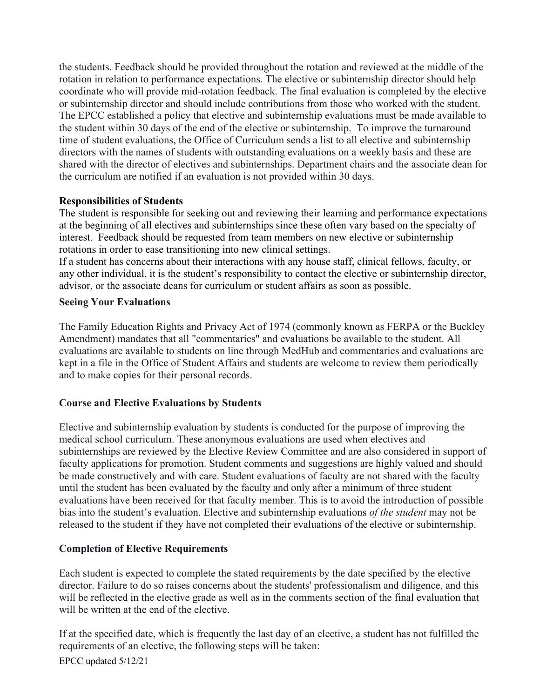the students. Feedback should be provided throughout the rotation and reviewed at the middle of the rotation in relation to performance expectations. The elective or subinternship director should help coordinate who will provide mid-rotation feedback. The final evaluation is completed by the elective or subinternship director and should include contributions from those who worked with the student. The EPCC established a policy that elective and subinternship evaluations must be made available to the student within 30 days of the end of the elective or subinternship. To improve the turnaround time of student evaluations, the Office of Curriculum sends a list to all elective and subinternship directors with the names of students with outstanding evaluations on a weekly basis and these are shared with the director of electives and subinternships. Department chairs and the associate dean for the curriculum are notified if an evaluation is not provided within 30 days.

#### **Responsibilities of Students**

The student is responsible for seeking out and reviewing their learning and performance expectations at the beginning of all electives and subinternships since these often vary based on the specialty of interest. Feedback should be requested from team members on new elective or subinternship rotations in order to ease transitioning into new clinical settings.

If a student has concerns about their interactions with any house staff, clinical fellows, faculty, or any other individual, it is the student's responsibility to contact the elective or subinternship director, advisor, or the associate deans for curriculum or student affairs as soon as possible.

#### **Seeing Your Evaluations**

The Family Education Rights and Privacy Act of 1974 (commonly known as FERPA or the Buckley Amendment) mandates that all "commentaries" and evaluations be available to the student. All evaluations are available to students on line through MedHub and commentaries and evaluations are kept in a file in the Office of Student Affairs and students are welcome to review them periodically and to make copies for their personal records.

## **Course and Elective Evaluations by Students**

Elective and subinternship evaluation by students is conducted for the purpose of improving the medical school curriculum. These anonymous evaluations are used when electives and subinternships are reviewed by the Elective Review Committee and are also considered in support of faculty applications for promotion. Student comments and suggestions are highly valued and should be made constructively and with care. Student evaluations of faculty are not shared with the faculty until the student has been evaluated by the faculty and only after a minimum of three student evaluations have been received for that faculty member. This is to avoid the introduction of possible bias into the student's evaluation. Elective and subinternship evaluations *of the student* may not be released to the student if they have not completed their evaluations of the elective or subinternship.

## **Completion of Elective Requirements**

Each student is expected to complete the stated requirements by the date specified by the elective director. Failure to do so raises concerns about the students' professionalism and diligence, and this will be reflected in the elective grade as well as in the comments section of the final evaluation that will be written at the end of the elective.

If at the specified date, which is frequently the last day of an elective, a student has not fulfilled the requirements of an elective, the following steps will be taken: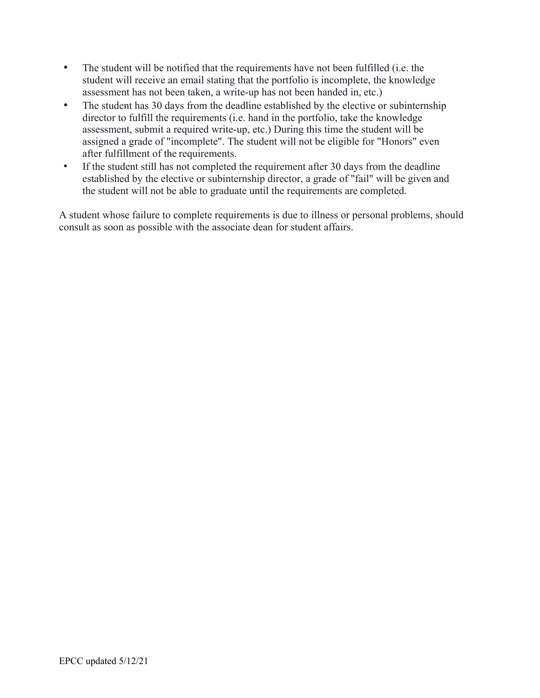- The student will be notified that the requirements have not been fulfilled (i.e. the student will receive an email stating that the portfolio is incomplete, the knowledge assessment has not been taken, a write-up has not been handed in, etc.)
- The student has 30 days from the deadline established by the elective or subinternship director to fulfill the requirements (i.e. hand in the portfolio, take the knowledge assessment, submit a required write-up, etc.) During this time the student will be assigned a grade of "incomplete". The student will not be eligible for "Honors" even after fulfillment of the requirements.
- If the student still has not completed the requirement after 30 days from the deadline established by the elective or subinternship director, a grade of "fail" will be given and the student will not be able to graduate until the requirements are completed.

A student whose failure to complete requirements is due to illness or personal problems, should consult as soon as possible with the associate dean for student affairs.